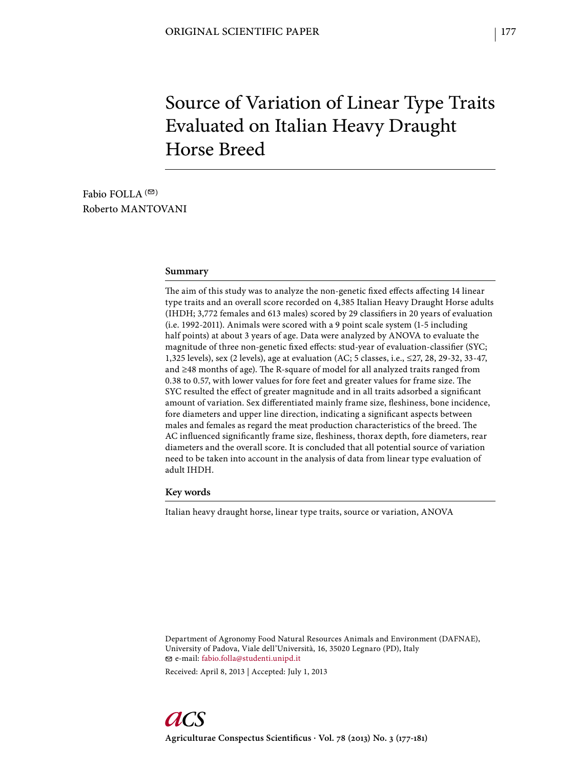# Source of Variation of Linear Type Traits Evaluated on Italian Heavy Draught Horse Breed

Fabio FOLLA  $($ <sup> $\odot$ </sup>) Roberto MANTOVANI

#### **Summary**

The aim of this study was to analyze the non-genetic fixed effects affecting 14 linear type traits and an overall score recorded on 4,385 Italian Heavy Draught Horse adults (IHDH; 3,772 females and 613 males) scored by 29 classifiers in 20 years of evaluation (i.e. 1992-2011). Animals were scored with a 9 point scale system (1-5 including half points) at about 3 years of age. Data were analyzed by ANOVA to evaluate the magnitude of three non-genetic fixed effects: stud-year of evaluation-classifier (SYC; 1,325 levels), sex (2 levels), age at evaluation (AC; 5 classes, i.e., ≤27, 28, 29-32, 33-47, and  $\geq$ 48 months of age). The R-square of model for all analyzed traits ranged from 0.38 to 0.57, with lower values for fore feet and greater values for frame size. The SYC resulted the effect of greater magnitude and in all traits adsorbed a significant amount of variation. Sex differentiated mainly frame size, fleshiness, bone incidence, fore diameters and upper line direction, indicating a significant aspects between males and females as regard the meat production characteristics of the breed. The AC influenced significantly frame size, fleshiness, thorax depth, fore diameters, rear diameters and the overall score. It is concluded that all potential source of variation need to be taken into account in the analysis of data from linear type evaluation of adult IHDH.

**Key words**

Italian heavy draught horse, linear type traits, source or variation, ANOVA

Department of Agronomy Food Natural Resources Animals and Environment (DAFNAE), University of Padova, Viale dell'Università, 16, 35020 Legnaro (PD), Italy e-mail: fabio.folla@studenti.unipd.it

Received: April 8, 2013 | Accepted: July 1, 2013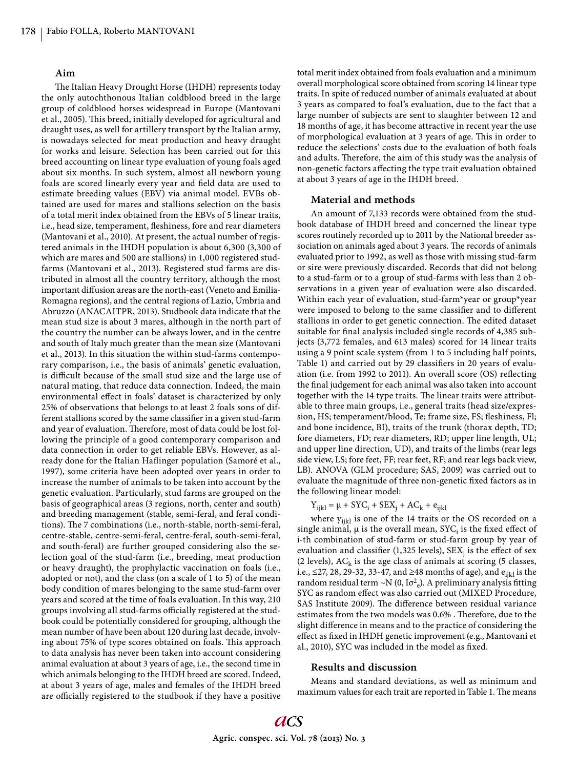### **Aim**

The Italian Heavy Drought Horse (IHDH) represents today the only autochthonous Italian coldblood breed in the large group of coldblood horses widespread in Europe (Mantovani et al., 2005). This breed, initially developed for agricultural and draught uses, as well for artillery transport by the Italian army, is nowadays selected for meat production and heavy draught for works and leisure. Selection has been carried out for this breed accounting on linear type evaluation of young foals aged about six months. In such system, almost all newborn young foals are scored linearly every year and field data are used to estimate breeding values (EBV) via animal model. EVBs obtained are used for mares and stallions selection on the basis of a total merit index obtained from the EBVs of 5 linear traits, i.e., head size, temperament, fleshiness, fore and rear diameters (Mantovani et al., 2010). At present, the actual number of registered animals in the IHDH population is about 6,300 (3,300 of which are mares and 500 are stallions) in 1,000 registered studfarms (Mantovani et al., 2013). Registered stud farms are distributed in almost all the country territory, although the most important diffusion areas are the north-east (Veneto and Emilia-Romagna regions), and the central regions of Lazio, Umbria and Abruzzo (ANACAITPR, 2013). Studbook data indicate that the mean stud size is about 3 mares, although in the north part of the country the number can be always lower, and in the centre and south of Italy much greater than the mean size (Mantovani et al., 2013). In this situation the within stud-farms contemporary comparison, i.e., the basis of animals' genetic evaluation, is difficult because of the small stud size and the large use of natural mating, that reduce data connection. Indeed, the main environmental effect in foals' dataset is characterized by only 25% of observations that belongs to at least 2 foals sons of different stallions scored by the same classifier in a given stud-farm and year of evaluation. Therefore, most of data could be lost following the principle of a good contemporary comparison and data connection in order to get reliable EBVs. However, as already done for the Italian Haflinger population (Samoré et al., 1997), some criteria have been adopted over years in order to increase the number of animals to be taken into account by the genetic evaluation. Particularly, stud farms are grouped on the basis of geographical areas (3 regions, north, center and south) and breeding management (stable, semi-feral, and feral conditions). The 7 combinations (i.e., north-stable, north-semi-feral, centre-stable, centre-semi-feral, centre-feral, south-semi-feral, and south-feral) are further grouped considering also the selection goal of the stud-farm (i.e., breeding, meat production or heavy draught), the prophylactic vaccination on foals (i.e., adopted or not), and the class (on a scale of 1 to 5) of the mean body condition of mares belonging to the same stud-farm over years and scored at the time of foals evaluation. In this way, 210 groups involving all stud-farms officially registered at the studbook could be potentially considered for grouping, although the mean number of have been about 120 during last decade, involving about 75% of type scores obtained on foals. This approach to data analysis has never been taken into account considering animal evaluation at about 3 years of age, i.e., the second time in which animals belonging to the IHDH breed are scored. Indeed, at about 3 years of age, males and females of the IHDH breed are officially registered to the studbook if they have a positive total merit index obtained from foals evaluation and a minimum overall morphological score obtained from scoring 14 linear type traits. In spite of reduced number of animals evaluated at about 3 years as compared to foal's evaluation, due to the fact that a large number of subjects are sent to slaughter between 12 and 18 months of age, it has become attractive in recent year the use of morphological evaluation at 3 years of age. This in order to reduce the selections' costs due to the evaluation of both foals and adults. Therefore, the aim of this study was the analysis of non-genetic factors affecting the type trait evaluation obtained at about 3 years of age in the IHDH breed.

#### **Material and methods**

An amount of 7,133 records were obtained from the studbook database of IHDH breed and concerned the linear type scores routinely recorded up to 2011 by the National breeder association on animals aged about 3 years. The records of animals evaluated prior to 1992, as well as those with missing stud-farm or sire were previously discarded. Records that did not belong to a stud-farm or to a group of stud-farms with less than 2 observations in a given year of evaluation were also discarded. Within each year of evaluation, stud-farm\*year or group\*year were imposed to belong to the same classifier and to different stallions in order to get genetic connection. The edited dataset suitable for final analysis included single records of 4,385 subjects (3,772 females, and 613 males) scored for 14 linear traits using a 9 point scale system (from 1 to 5 including half points, Table 1) and carried out by 29 classifiers in 20 years of evaluation (i.e. from 1992 to 2011). An overall score (OS) reflecting the final judgement for each animal was also taken into account together with the 14 type traits. The linear traits were attributable to three main groups, i.e., general traits (head size/expression, HS; temperament/blood, Te; frame size, FS; fleshiness, Fl; and bone incidence, BI), traits of the trunk (thorax depth, TD; fore diameters, FD; rear diameters, RD; upper line length, UL; and upper line direction, UD), and traits of the limbs (rear legs side view, LS; fore feet, FF; rear feet, RF; and rear legs back view, LB). ANOVA (GLM procedure; SAS, 2009) was carried out to evaluate the magnitude of three non-genetic fixed factors as in the following linear model:

 $Y_{ijkl} = \mu + SYC_i + SEX_j + AC_k + e_{ijkl}$ 

where  $y_{ijkl}$  is one of the 14 traits or the OS recorded on a single animal,  $\mu$  is the overall mean, SYC<sub>i</sub> is the fixed effect of i-th combination of stud-farm or stud-farm group by year of evaluation and classifier (1,325 levels),  $SEX_j$  is the effect of sex (2 levels),  $AC_k$  is the age class of animals at scoring (5 classes, i.e., ≤27, 28, 29-32, 33-47, and ≥48 months of age), and  $e_{iik}$  is the random residual term  $\sim N(0, I\sigma^2_e)$ . A preliminary analysis fitting SYC as random effect was also carried out (MIXED Procedure, SAS Institute 2009). The difference between residual variance estimates from the two models was 0.6%. Therefore, due to the slight difference in means and to the practice of considering the effect as fixed in IHDH genetic improvement (e.g., Mantovani et al., 2010), SYC was included in the model as fixed.

## **Results and discussion**

Means and standard deviations, as well as minimum and maximum values for each trait are reported in Table 1. The means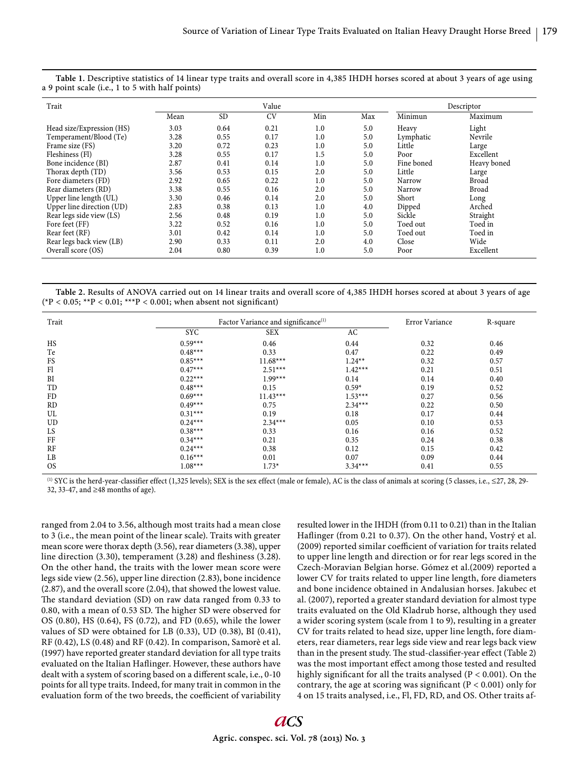| Trait                     | Value |           |           |     |     | Descriptor |             |
|---------------------------|-------|-----------|-----------|-----|-----|------------|-------------|
|                           | Mean  | <b>SD</b> | <b>CV</b> | Min | Max | Minimun    | Maximum     |
| Head size/Expression (HS) | 3.03  | 0.64      | 0.21      | 1.0 | 5.0 | Heavy      | Light       |
| Temperament/Blood (Te)    | 3.28  | 0.55      | 0.17      | 1.0 | 5.0 | Lymphatic  | Nevrile     |
| Frame size (FS)           | 3.20  | 0.72      | 0.23      | 1.0 | 5.0 | Little     | Large       |
| Fleshiness (Fl)           | 3.28  | 0.55      | 0.17      | 1.5 | 5.0 | Poor       | Excellent   |
| Bone incidence (BI)       | 2.87  | 0.41      | 0.14      | 1.0 | 5.0 | Fine boned | Heavy boned |
| Thorax depth (TD)         | 3.56  | 0.53      | 0.15      | 2.0 | 5.0 | Little     | Large       |
| Fore diameters (FD)       | 2.92  | 0.65      | 0.22      | 1.0 | 5.0 | Narrow     | Broad       |
| Rear diameters (RD)       | 3.38  | 0.55      | 0.16      | 2.0 | 5.0 | Narrow     | Broad       |
| Upper line length (UL)    | 3.30  | 0.46      | 0.14      | 2.0 | 5.0 | Short      | Long        |
| Upper line direction (UD) | 2.83  | 0.38      | 0.13      | 1.0 | 4.0 | Dipped     | Arched      |
| Rear legs side view (LS)  | 2.56  | 0.48      | 0.19      | 1.0 | 5.0 | Sickle     | Straight    |
| Fore feet (FF)            | 3.22  | 0.52      | 0.16      | 1.0 | 5.0 | Toed out   | Toed in     |
| Rear feet (RF)            | 3.01  | 0.42      | 0.14      | 1.0 | 5.0 | Toed out   | Toed in     |
| Rear legs back view (LB)  | 2.90  | 0.33      | 0.11      | 2.0 | 4.0 | Close      | Wide        |
| Overall score (OS)        | 2.04  | 0.80      | 0.39      | 1.0 | 5.0 | Poor       | Excellent   |

**Table 1.** Descriptive statistics of 14 linear type traits and overall score in 4,385 IHDH horses scored at about 3 years of age using a 9 point scale (i.e., 1 to 5 with half points)

**Table 2.** Results of ANOVA carried out on 14 linear traits and overall score of 4,385 IHDH horses scored at about 3 years of age  $({*P} < 0.05; **P < 0.01; **P < 0.001;$  when absent not significant)

| Trait                  | Factor Variance and significance <sup>(1)</sup> | <b>Error Variance</b> | R-square |      |
|------------------------|-------------------------------------------------|-----------------------|----------|------|
| <b>SYC</b>             | <b>SEX</b>                                      | AC                    |          |      |
| $0.59***$<br>HS        | 0.46                                            | 0.44                  | 0.32     | 0.46 |
| Te<br>$0.48***$        | 0.33                                            | 0.47                  | 0.22     | 0.49 |
| FS<br>$0.85***$        | $11.68***$                                      | $1.24**$              | 0.32     | 0.57 |
| F1<br>$0.47***$        | $2.51***$                                       | $1.42***$             | 0.21     | 0.51 |
| BI<br>$0.22***$        | $1.99***$                                       | 0.14                  | 0.14     | 0.40 |
| TD<br>$0.48***$        | 0.15                                            | $0.59*$               | 0.19     | 0.52 |
| FD<br>$0.69***$        | $11.43***$                                      | $1.53***$             | 0.27     | 0.56 |
| $0.49***$<br>RD        | 0.75                                            | $2.34***$             | 0.22     | 0.50 |
| UL<br>$0.31***$        | 0.19                                            | 0.18                  | 0.17     | 0.44 |
| UD<br>$0.24***$        | $2.34***$                                       | 0.05                  | 0.10     | 0.53 |
| $0.38***$<br>LS        | 0.33                                            | 0.16                  | 0.16     | 0.52 |
| FF<br>$0.34***$        | 0.21                                            | 0.35                  | 0.24     | 0.38 |
| RF<br>$0.24***$        | 0.38                                            | 0.12                  | 0.15     | 0.42 |
| $0.16***$<br>LB        | 0.01                                            | 0.07                  | 0.09     | 0.44 |
| <b>OS</b><br>$1.08***$ | $1.73*$                                         | $3.34***$             | 0.41     | 0.55 |

(1) SYC is the herd-year-classifier effect (1,325 levels); SEX is the sex effect (male or female), AC is the class of animals at scoring (5 classes, i.e., ≤27, 28, 29- 32, 33-47, and ≥48 months of age).

ranged from 2.04 to 3.56, although most traits had a mean close to 3 (i.e., the mean point of the linear scale). Traits with greater mean score were thorax depth (3.56), rear diameters (3.38), upper line direction  $(3.30)$ , temperament  $(3.28)$  and fleshiness  $(3.28)$ . On the other hand, the traits with the lower mean score were legs side view (2.56), upper line direction (2.83), bone incidence (2.87), and the overall score (2.04), that showed the lowest value. The standard deviation (SD) on raw data ranged from 0.33 to 0.80, with a mean of 0.53 SD. The higher SD were observed for OS (0.80), HS (0.64), FS (0.72), and FD (0.65), while the lower values of SD were obtained for LB (0.33), UD (0.38), BI (0.41), RF (0.42), LS (0.48) and RF (0.42). In comparison, Samorè et al. (1997) have reported greater standard deviation for all type traits evaluated on the Italian Haflinger. However, these authors have dealt with a system of scoring based on a different scale, i.e., 0-10 points for all type traits. Indeed, for many trait in common in the evaluation form of the two breeds, the coefficient of variability resulted lower in the IHDH (from 0.11 to 0.21) than in the Italian Haflinger (from 0.21 to 0.37). On the other hand, Vostrý et al. (2009) reported similar coefficient of variation for traits related to upper line length and direction or for rear legs scored in the Czech-Moravian Belgian horse. Gómez et al.(2009) reported a lower CV for traits related to upper line length, fore diameters and bone incidence obtained in Andalusian horses. Jakubec et al. (2007), reported a greater standard deviation for almost type traits evaluated on the Old Kladrub horse, although they used a wider scoring system (scale from 1 to 9), resulting in a greater CV for traits related to head size, upper line length, fore diameters, rear diameters, rear legs side view and rear legs back view than in the present study. The stud-classifier-year effect (Table 2) was the most important effect among those tested and resulted highly significant for all the traits analysed ( $P < 0.001$ ). On the contrary, the age at scoring was significant ( $P < 0.001$ ) only for 4 on 15 traits analysed, i.e., Fl, FD, RD, and OS. Other traits af-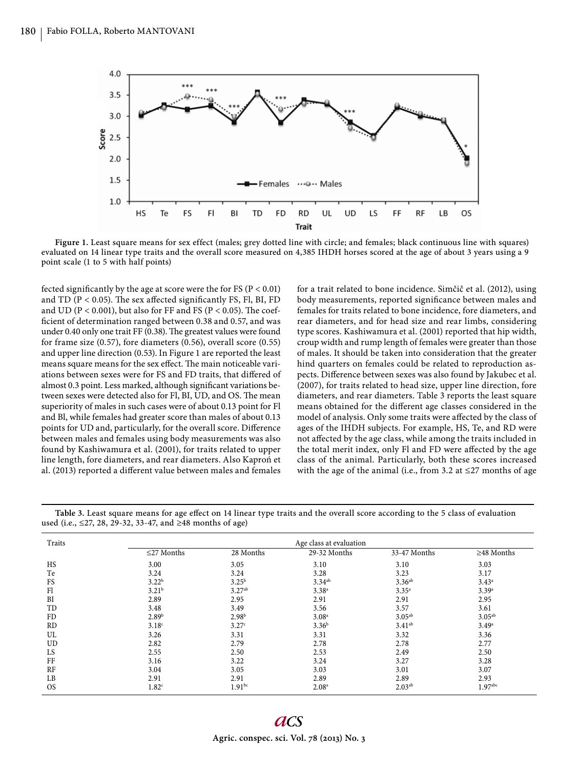

Figure 1. Least square means for sex effect (males; grey dotted line with circle; and females; black continuous line with squares) evaluated on 14 linear type traits and the overall score measured on 4,385 IHDH horses scored at the age of about 3 years using a 9 point scale (1 to 5 with half points)

fected significantly by the age at score were the for FS ( $P < 0.01$ ) and TD ( $P < 0.05$ ). The sex affected significantly FS, Fl, BI, FD and UD ( $P < 0.001$ ), but also for FF and FS ( $P < 0.05$ ). The coefficient of determination ranged between 0.38 and 0.57, and was under 0.40 only one trait FF (0.38). The greatest values were found for frame size (0.57), fore diameters (0.56), overall score (0.55) and upper line direction (0.53). In Figure 1 are reported the least means square means for the sex effect. The main noticeable variations between sexes were for FS and FD traits, that differed of almost 0.3 point. Less marked, although significant variations between sexes were detected also for Fl, BI, UD, and OS. The mean superiority of males in such cases were of about 0.13 point for Fl and Bl, while females had greater score than males of about 0.13 points for UD and, particularly, for the overall score. Difference between males and females using body measurements was also found by Kashiwamura et al. (2001), for traits related to upper line length, fore diameters, and rear diameters. Also Kaproń et al. (2013) reported a different value between males and females

for a trait related to bone incidence. Simčič et al. (2012), using body measurements, reported significance between males and females for traits related to bone incidence, fore diameters, and rear diameters, and for head size and rear limbs, considering type scores. Kashiwamura et al. (2001) reported that hip width, croup width and rump length of females were greater than those of males. It should be taken into consideration that the greater hind quarters on females could be related to reproduction aspects. Difference between sexes was also found by Jakubec et al. (2007), for traits related to head size, upper line direction, fore diameters, and rear diameters. Table 3 reports the least square means obtained for the different age classes considered in the model of analysis. Only some traits were affected by the class of ages of the IHDH subjects. For example, HS, Te, and RD were not affected by the age class, while among the traits included in the total merit index, only Fl and FD were affected by the age class of the animal. Particularly, both these scores increased with the age of the animal (i.e., from 3.2 at  $\leq$ 27 months of age

| Traits    | Age class at evaluation |                   |                   |                    |                     |  |  |  |  |
|-----------|-------------------------|-------------------|-------------------|--------------------|---------------------|--|--|--|--|
|           | $\leq$ 27 Months        | 28 Months         | 29-32 Months      | 33-47 Months       | $\geq$ 48 Months    |  |  |  |  |
| <b>HS</b> | 3.00                    | 3.05              | 3.10              | 3.10               | 3.03                |  |  |  |  |
| Te        | 3.24                    | 3.24              | 3.28              | 3.23               | 3.17                |  |  |  |  |
| FS        | 3.22 <sup>b</sup>       | $3.25^{\rm b}$    | $3.34^{ab}$       | 3.36 <sup>ab</sup> | $3.43^a$            |  |  |  |  |
| Fl        | 3.21 <sup>b</sup>       | $3.27^{ab}$       | $3.38^{a}$        | $3.35^{a}$         | $3.39^{a}$          |  |  |  |  |
| BI        | 2.89                    | 2.95              | 2.91              | 2.91               | 2.95                |  |  |  |  |
| TD        | 3.48                    | 3.49              | 3.56              | 3.57               | 3.61                |  |  |  |  |
| <b>FD</b> | 2.89 <sup>b</sup>       | 2.98 <sup>b</sup> | 3.08 <sup>a</sup> | 3.05 <sup>ab</sup> | 3.05 <sup>ab</sup>  |  |  |  |  |
| <b>RD</b> | 3.18 <sup>c</sup>       | 3.27 <sup>c</sup> | $3.36^{b}$        | 3.41 <sup>ab</sup> | $3.49^{\circ}$      |  |  |  |  |
| UL        | 3.26                    | 3.31              | 3.31              | 3.32               | 3.36                |  |  |  |  |
| UD        | 2.82                    | 2.79              | 2.78              | 2.78               | 2.77                |  |  |  |  |
| LS        | 2.55                    | 2.50              | 2.53              | 2.49               | 2.50                |  |  |  |  |
| FF        | 3.16                    | 3.22              | 3.24              | 3.27               | 3.28                |  |  |  |  |
| RF        | 3.04                    | 3.05              | 3.03              | 3.01               | 3.07                |  |  |  |  |
| LB        | 2.91                    | 2.91              | 2.89              | 2.89               | 2.93                |  |  |  |  |
| <b>OS</b> | 1.82 <sup>c</sup>       | $1.91^{bc}$       | 2.08 <sup>a</sup> | $2.03^{ab}$        | 1.97 <sub>abc</sub> |  |  |  |  |

Table 3. Least square means for age effect on 14 linear type traits and the overall score according to the 5 class of evaluation used (i.e., ≤27, 28, 29-32, 33-47, and ≥48 months of age)